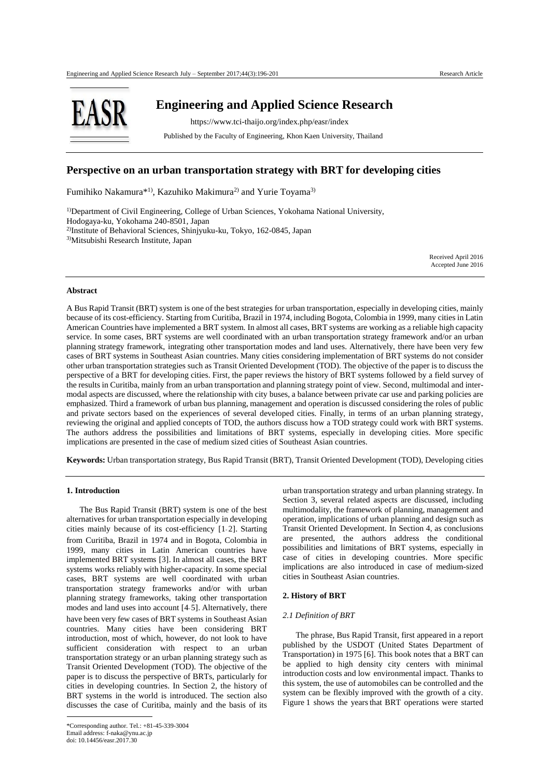

 **Engineering and Applied Science Research**

https://www.tci-thaijo.org/index.php/easr/index

Published by the Faculty of Engineering, Khon Kaen University, Thailand

# **Perspective on an urban transportation strategy with BRT for developing cities**

Fumihiko Nakamura<sup>\*1)</sup>, Kazuhiko Makimura<sup>2)</sup> and Yurie Toyama<sup>3)</sup>

1)Department of Civil Engineering, College of Urban Sciences, Yokohama National University, Hodogaya-ku, Yokohama 240-8501, Japan 2)Institute of Behavioral Sciences, Shinjyuku-ku, Tokyo, 162-0845, Japan 3)Mitsubishi Research Institute, Japan

> Received April 2016 Accepted June 2016

## **Abstract**

A Bus Rapid Transit (BRT) system is one of the best strategies for urban transportation, especially in developing cities, mainly because of its cost-efficiency. Starting from Curitiba, Brazil in 1974, including Bogota, Colombia in 1999, many cities in Latin American Countries have implemented a BRT system. In almost all cases, BRT systems are working as a reliable high capacity service. In some cases, BRT systems are well coordinated with an urban transportation strategy framework and/or an urban planning strategy framework, integrating other transportation modes and land uses. Alternatively, there have been very few cases of BRT systems in Southeast Asian countries. Many cities considering implementation of BRT systems do not consider other urban transportation strategies such as Transit Oriented Development (TOD). The objective of the paper is to discuss the perspective of a BRT for developing cities. First, the paper reviews the history of BRT systems followed by a field survey of the results in Curitiba, mainly from an urban transportation and planning strategy point of view. Second, multimodal and intermodal aspects are discussed, where the relationship with city buses, a balance between private car use and parking policies are emphasized. Third a framework of urban bus planning, management and operation is discussed considering the roles of public and private sectors based on the experiences of several developed cities. Finally, in terms of an urban planning strategy, reviewing the original and applied concepts of TOD, the authors discuss how a TOD strategy could work with BRT systems. The authors address the possibilities and limitations of BRT systems, especially in developing cities. More specific implications are presented in the case of medium sized cities of Southeast Asian countries.

**Keywords:** Urban transportation strategy, Bus Rapid Transit (BRT), Transit Oriented Development (TOD), Developing cities

# **1. Introduction**

The Bus Rapid Transit (BRT) system is one of the best alternatives for urban transportation especially in developing cities mainly because of its cost-efficiency [1- 2]. Starting from Curitiba, Brazil in 1974 and in Bogota, Colombia in 1999, many cities in Latin American countries have implemented BRT systems [3]. In almost all cases, the BRT systems works reliably with higher-capacity. In some special cases, BRT systems are well coordinated with urban transportation strategy frameworks and/or with urban planning strategy frameworks, taking other transportation modes and land uses into account [4-5]. Alternatively, there have been very few cases of BRT systems in Southeast Asian countries. Many cities have been considering BRT introduction, most of which, however, do not look to have sufficient consideration with respect to an urban transportation strategy or an urban planning strategy such as Transit Oriented Development (TOD). The objective of the paper is to discuss the perspective of BRTs, particularly for cities in developing countries. In Section 2, the history of BRT systems in the world is introduced. The section also discusses the case of Curitiba, mainly and the basis of its

urban transportation strategy and urban planning strategy. In Section 3, several related aspects are discussed, including multimodality, the framework of planning, management and operation, implications of urban planning and design such as Transit Oriented Development. In Section 4, as conclusions are presented, the authors address the conditional possibilities and limitations of BRT systems, especially in case of cities in developing countries. More specific implications are also introduced in case of medium-sized cities in Southeast Asian countries.

#### **2. History of BRT**

### *2.1 Definition of BRT*

The phrase, Bus Rapid Transit, first appeared in a report published by the USDOT (United States Department of Transportation) in 1975 [6]. This book notes that a BRT can be applied to high density city centers with minimal introduction costs and low environmental impact. Thanks to this system, the use of automobiles can be controlled and the system can be flexibly improved with the growth of a city. Figure 1 shows the years that BRT operations were started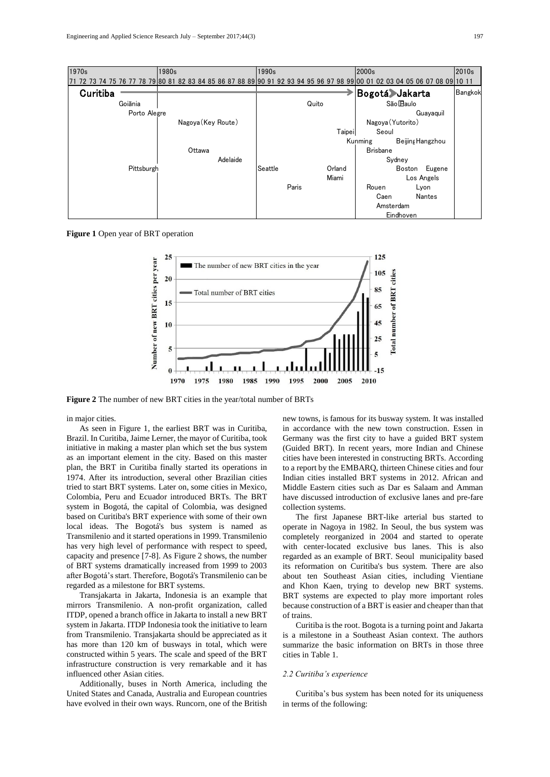| Engineering and Applied Science Research July – September $2017;44(3)$ |                                                                                                          |       |  |                    |           |  |         |  |       |       |  |        |                             |      |                |            |        | 197     |
|------------------------------------------------------------------------|----------------------------------------------------------------------------------------------------------|-------|--|--------------------|-----------|--|---------|--|-------|-------|--|--------|-----------------------------|------|----------------|------------|--------|---------|
|                                                                        |                                                                                                          |       |  |                    |           |  |         |  |       |       |  |        |                             |      |                |            |        |         |
| 1970s                                                                  |                                                                                                          | 1980s |  |                    |           |  | 1990s   |  |       |       |  |        | 2000s                       |      |                |            |        | 2010s   |
|                                                                        | 77 78 79 80 81 82 83 84 85 86 87 88 89 90 91 92 93 94 95 96 97 98 99 00 01 02 03 04 05 06 07 08 09 10 11 |       |  |                    |           |  |         |  |       |       |  |        |                             |      |                |            |        |         |
| Curitiba                                                               |                                                                                                          |       |  |                    |           |  |         |  |       |       |  |        |                             |      | Bogotá Jakarta |            |        | Bangkok |
|                                                                        | Goiãnia                                                                                                  |       |  |                    |           |  |         |  |       | Quito |  |        |                             |      | São Paulo      |            |        |         |
|                                                                        | Porto Alegre                                                                                             |       |  |                    | Guayaquil |  |         |  |       |       |  |        |                             |      |                |            |        |         |
|                                                                        |                                                                                                          |       |  | Nagoya (Key Route) |           |  |         |  |       |       |  |        | Nagoya (Yutorito)           |      |                |            |        |         |
|                                                                        |                                                                                                          |       |  |                    |           |  |         |  |       |       |  | Taipei | Seoul                       |      |                |            |        |         |
|                                                                        |                                                                                                          |       |  |                    |           |  |         |  |       |       |  |        | Beijing Hangzhou<br>Kunming |      |                |            |        |         |
|                                                                        |                                                                                                          |       |  | Ottawa             |           |  |         |  |       |       |  |        | <b>Brisbane</b>             |      |                |            |        |         |
|                                                                        |                                                                                                          |       |  |                    | Adelaide  |  |         |  |       |       |  |        | Sydney                      |      |                |            |        |         |
|                                                                        | Pittsburgh                                                                                               |       |  |                    |           |  | Seattle |  |       |       |  | Orland |                             |      | Boston         |            | Eugene |         |
|                                                                        |                                                                                                          |       |  |                    |           |  |         |  |       |       |  | Miami  |                             |      |                | Los Angels |        |         |
|                                                                        |                                                                                                          |       |  |                    |           |  |         |  | Paris |       |  |        | Rouen                       |      |                | Lyon       |        |         |
|                                                                        |                                                                                                          |       |  |                    |           |  |         |  |       |       |  |        |                             | Caen |                | Nantes     |        |         |
|                                                                        |                                                                                                          |       |  |                    |           |  |         |  |       |       |  |        |                             |      | Amsterdam      |            |        |         |
|                                                                        |                                                                                                          |       |  |                    |           |  |         |  |       |       |  |        |                             |      | Eindhoven      |            |        |         |

**Figure 1** Open year of BRT operation



**Figure 2** The number of new BRT cities in the year/total number of BRTs

in major cities.

As seen in Figure 1, the earliest BRT was in Curitiba, Brazil. In Curitiba, Jaime Lerner, the mayor of Curitiba, took initiative in making a master plan which set the bus system as an important element in the city. Based on this master plan, the BRT in Curitiba finally started its operations in 1974. After its introduction, several other Brazilian cities tried to start BRT systems. Later on, some cities in Mexico, Colombia, Peru and Ecuador introduced BRTs. The BRT system in Bogotá, the capital of Colombia, was designed based on Curitiba's BRT experience with some of their own local ideas. The Bogotá's bus system is named as Transmilenio and it started operations in 1999. Transmilenio has very high level of performance with respect to speed, capacity and presence [7-8]. As Figure 2 shows, the number of BRT systems dramatically increased from 1999 to 2003 after Bogotá's start. Therefore, Bogotá's Transmilenio can be regarded as a milestone for BRT systems.

Transjakarta in Jakarta, Indonesia is an example that mirrors Transmilenio. A non-profit organization, called ITDP, opened a branch office in Jakarta to install a new BRT system in Jakarta. ITDP Indonesia took the initiative to learn from Transmilenio. Transjakarta should be appreciated as it has more than 120 km of busways in total, which were constructed within 5 years. The scale and speed of the BRT infrastructure construction is very remarkable and it has influenced other Asian cities.

Additionally, buses in North America, including the United States and Canada, Australia and European countries have evolved in their own ways. Runcorn, one of the British new towns, is famous for its busway system. It was installed in accordance with the new town construction. Essen in Germany was the first city to have a guided BRT system (Guided BRT). In recent years, more Indian and Chinese cities have been interested in constructing BRTs. According to a report by the EMBARQ, thirteen Chinese cities and four Indian cities installed BRT systems in 2012. African and Middle Eastern cities such as Dar es Salaam and Amman have discussed introduction of exclusive lanes and pre-fare collection systems.

The first Japanese BRT-like arterial bus started to operate in Nagoya in 1982. In Seoul, the bus system was completely reorganized in 2004 and started to operate with center-located exclusive bus lanes. This is also regarded as an example of BRT. Seoul municipality based its reformation on Curitiba's bus system. There are also about ten Southeast Asian cities, including Vientiane and Khon Kaen, trying to develop new BRT systems. BRT systems are expected to play more important roles because construction of a BRT is easier and cheaper than that of trains.

Curitiba is the root. Bogota is a turning point and Jakarta is a milestone in a Southeast Asian context. The authors summarize the basic information on BRTs in those three cities in Table 1.

### *2.2 Curitiba's experience*

Curitiba's bus system has been noted for its uniqueness in terms of the following: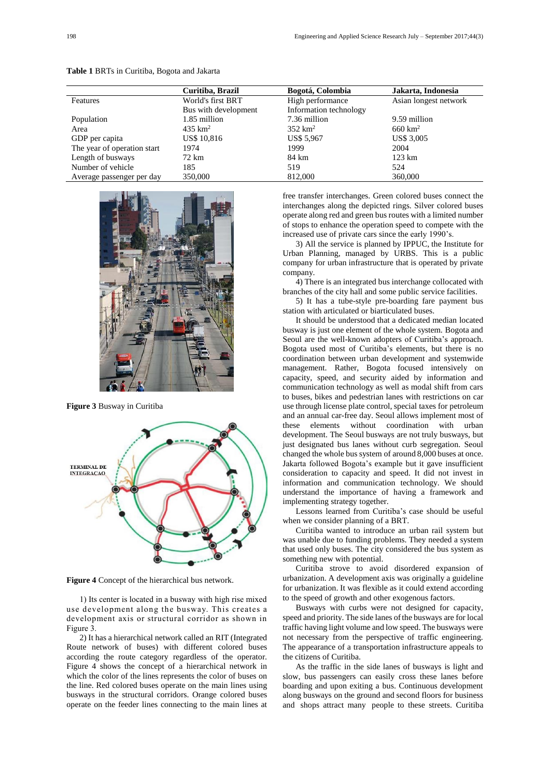|                             | Curitiba, Brazil     | Bogotá, Colombia       | Jakarta, Indonesia    |  |  |  |
|-----------------------------|----------------------|------------------------|-----------------------|--|--|--|
|                             |                      |                        |                       |  |  |  |
| Features                    | World's first BRT    | High performance       | Asian longest network |  |  |  |
|                             | Bus with development | Information technology |                       |  |  |  |
| Population                  | 1.85 million         | 7.36 million           | 9.59 million          |  |  |  |
| Area                        | 435 $km^2$           | $352 \text{ km}^2$     | $660 \text{ km}^2$    |  |  |  |
| GDP per capita              | <b>US\$</b> 10,816   | US\$ 5,967             | <b>US\$ 3,005</b>     |  |  |  |
| The year of operation start | 1974                 | 1999                   | 2004                  |  |  |  |
| Length of busways           | 72 km                | 84 km                  | $123 \text{ km}$      |  |  |  |
| Number of vehicle           | 185                  | 519                    | 524                   |  |  |  |
| Average passenger per day   | 350,000              | 812,000                | 360,000               |  |  |  |

**Table 1** BRTs in Curitiba, Bogota and Jakarta



**Figure 3** Busway in Curitiba



**Figure 4** Concept of the hierarchical bus network.

1) Its center is located in a busway with high rise mixed use development along the busway. This creates a development axis or structural corridor as shown in Figure 3.

2) It has a hierarchical network called an RIT (Integrated Route network of buses) with different colored buses according the route category regardless of the operator. Figure 4 shows the concept of a hierarchical network in which the color of the lines represents the color of buses on the line. Red colored buses operate on the main lines using busways in the structural corridors. Orange colored buses operate on the feeder lines connecting to the main lines at

free transfer interchanges. Green colored buses connect the interchanges along the depicted rings. Silver colored buses operate along red and green bus routes with a limited number of stops to enhance the operation speed to compete with the increased use of private cars since the early 1990's.

3) All the service is planned by IPPUC, the Institute for Urban Planning, managed by URBS. This is a public company for urban infrastructure that is operated by private company.

4) There is an integrated bus interchange collocated with branches of the city hall and some public service facilities.

5) It has a tube-style pre-boarding fare payment bus station with articulated or biarticulated buses.

It should be understood that a dedicated median located busway is just one element of the whole system. Bogota and Seoul are the well-known adopters of Curitiba's approach. Bogota used most of Curitiba's elements, but there is no coordination between urban development and systemwide management. Rather, Bogota focused intensively on capacity, speed, and security aided by information and communication technology as well as modal shift from cars to buses, bikes and pedestrian lanes with restrictions on car use through license plate control, special taxes for petroleum and an annual car-free day. Seoul allows implement most of these elements without coordination with urban development. The Seoul busways are not truly busways, but just designated bus lanes without curb segregation. Seoul changed the whole bus system of around 8,000 buses at once. Jakarta followed Bogota's example but it gave insufficient consideration to capacity and speed. It did not invest in information and communication technology. We should understand the importance of having a framework and implementing strategy together.

Lessons learned from Curitiba's case should be useful when we consider planning of a BRT.

Curitiba wanted to introduce an urban rail system but was unable due to funding problems. They needed a system that used only buses. The city considered the bus system as something new with potential.

Curitiba strove to avoid disordered expansion of urbanization. A development axis was originally a guideline for urbanization. It was flexible as it could extend according to the speed of growth and other exogenous factors.

Busways with curbs were not designed for capacity, speed and priority. The side lanes of the busways are for local traffic having light volume and low speed. The busways were not necessary from the perspective of traffic engineering. The appearance of a transportation infrastructure appeals to the citizens of Curitiba.

As the traffic in the side lanes of busways is light and slow, bus passengers can easily cross these lanes before boarding and upon exiting a bus. Continuous development along busways on the ground and second floors for business and shops attract many people to these streets. Curitiba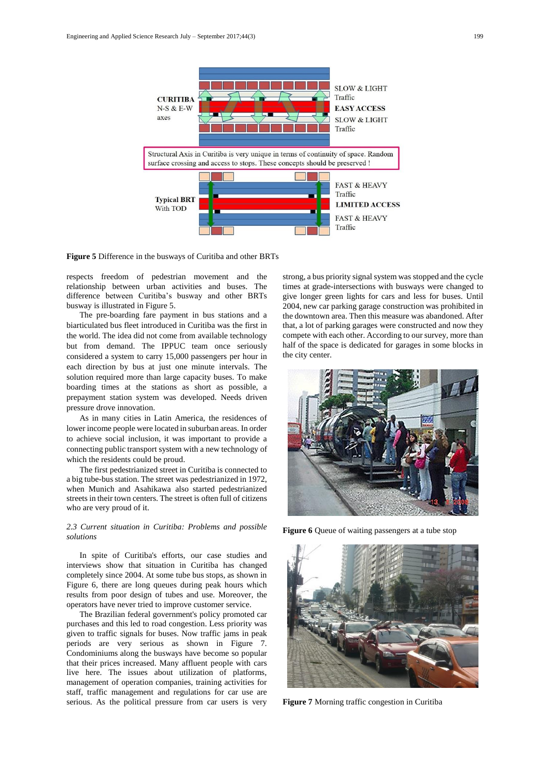

**Figure 5** Difference in the busways of Curitiba and other BRTs

respects freedom of pedestrian movement and the relationship between urban activities and buses. The difference between Curitiba's busway and other BRTs busway is illustrated in Figure 5.

The pre-boarding fare payment in bus stations and a biarticulated bus fleet introduced in Curitiba was the first in the world. The idea did not come from available technology but from demand. The IPPUC team once seriously considered a system to carry 15,000 passengers per hour in each direction by bus at just one minute intervals. The solution required more than large capacity buses. To make boarding times at the stations as short as possible, a prepayment station system was developed. Needs driven pressure drove innovation.

As in many cities in Latin America, the residences of lower income people were located in suburban areas. In order to achieve social inclusion, it was important to provide a connecting public transport system with a new technology of which the residents could be proud.

The first pedestrianized street in Curitiba is connected to a big tube-bus station. The street was pedestrianized in 1972, when Munich and Asahikawa also started pedestrianized streets in their town centers. The street is often full of citizens who are very proud of it.

### *2.3 Current situation in Curitiba: Problems and possible solutions*

In spite of Curitiba's efforts, our case studies and interviews show that situation in Curitiba has changed completely since 2004. At some tube bus stops, as shown in Figure 6, there are long queues during peak hours which results from poor design of tubes and use. Moreover, the operators have never tried to improve customer service.

The Brazilian federal government's policy promoted car purchases and this led to road congestion. Less priority was given to traffic signals for buses. Now traffic jams in peak periods are very serious as shown in Figure 7. Condominiums along the busways have become so popular that their prices increased. Many affluent people with cars live here. The issues about utilization of platforms, management of operation companies, training activities for staff, traffic management and regulations for car use are serious. As the political pressure from car users is very strong, a bus priority signal system was stopped and the cycle times at grade-intersections with busways were changed to give longer green lights for cars and less for buses. Until 2004, new car parking garage construction was prohibited in the downtown area. Then this measure was abandoned. After that, a lot of parking garages were constructed and now they compete with each other. According to our survey, more than half of the space is dedicated for garages in some blocks in the city center.



**Figure 6** Queue of waiting passengers at a tube stop



**Figure 7** Morning traffic congestion in Curitiba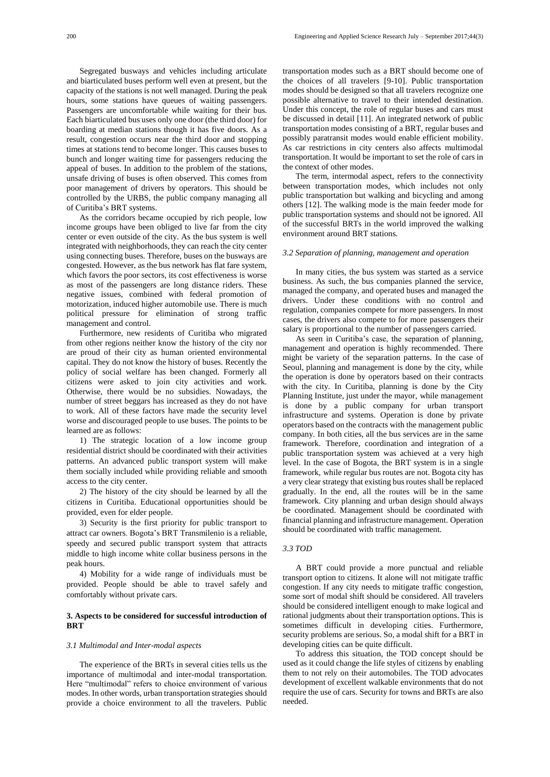Segregated busways and vehicles including articulate and biarticulated buses perform well even at present, but the capacity of the stations is not well managed. During the peak hours, some stations have queues of waiting passengers. Passengers are uncomfortable while waiting for their bus. Each biarticulated bus uses only one door (the third door) for boarding at median stations though it has five doors. As a result, congestion occurs near the third door and stopping times at stations tend to become longer. This causes buses to bunch and longer waiting time for passengers reducing the appeal of buses. In addition to the problem of the stations, unsafe driving of buses is often observed. This comes from poor management of drivers by operators. This should be controlled by the URBS, the public company managing all of Curitiba's BRT systems.

As the corridors became occupied by rich people, low income groups have been obliged to live far from the city center or even outside of the city. As the bus system is well integrated with neighborhoods, they can reach the city center using connecting buses. Therefore, buses on the busways are congested. However, as the bus network has flat fare system, which favors the poor sectors, its cost effectiveness is worse as most of the passengers are long distance riders. These negative issues, combined with federal promotion of motorization, induced higher automobile use. There is much political pressure for elimination of strong traffic management and control.

Furthermore, new residents of Curitiba who migrated from other regions neither know the history of the city nor are proud of their city as human oriented environmental capital. They do not know the history of buses. Recently the policy of social welfare has been changed. Formerly all citizens were asked to join city activities and work. Otherwise, there would be no subsidies. Nowadays, the number of street beggars has increased as they do not have to work. All of these factors have made the security level worse and discouraged people to use buses. The points to be learned are as follows:

1) The strategic location of a low income group residential district should be coordinated with their activities patterns. An advanced public transport system will make them socially included while providing reliable and smooth access to the city center.

2) The history of the city should be learned by all the citizens in Curitiba. Educational opportunities should be provided, even for elder people.

3) Security is the first priority for public transport to attract car owners. Bogota's BRT Transmilenio is a reliable, speedy and secured public transport system that attracts middle to high income white collar business persons in the peak hours.

4) Mobility for a wide range of individuals must be provided. People should be able to travel safely and comfortably without private cars.

### **3. Aspects to be considered for successful introduction of BRT**

#### *3.1 Multimodal and Inter-modal aspects*

The experience of the BRTs in several cities tells us the importance of multimodal and inter-modal transportation. Here "multimodal" refers to choice environment of various modes. In other words, urban transportation strategies should provide a choice environment to all the travelers. Public

transportation modes such as a BRT should become one of the choices of all travelers [9-10]. Public transportation modes should be designed so that all travelers recognize one possible alternative to travel to their intended destination. Under this concept, the role of regular buses and cars must be discussed in detail [11]. An integrated network of public transportation modes consisting of a BRT, regular buses and possibly paratransit modes would enable efficient mobility. As car restrictions in city centers also affects multimodal transportation. It would be important to set the role of cars in the context of other modes.

The term, intermodal aspect, refers to the connectivity between transportation modes, which includes not only public transportation but walking and bicycling and among others [12]. The walking mode is the main feeder mode for public transportation systems and should not be ignored. All of the successful BRTs in the world improved the walking environment around BRT stations.

#### *3.2 Separation of planning, management and operation*

In many cities, the bus system was started as a service business. As such, the bus companies planned the service, managed the company, and operated buses and managed the drivers. Under these conditions with no control and regulation, companies compete for more passengers. In most cases, the drivers also compete to for more passengers their salary is proportional to the number of passengers carried.

As seen in Curitiba's case, the separation of planning, management and operation is highly recommended. There might be variety of the separation patterns. In the case of Seoul, planning and management is done by the city, while the operation is done by operators based on their contracts with the city. In Curitiba, planning is done by the City Planning Institute, just under the mayor, while management is done by a public company for urban transport infrastructure and systems. Operation is done by private operators based on the contracts with the management public company. In both cities, all the bus services are in the same framework. Therefore, coordination and integration of a public transportation system was achieved at a very high level. In the case of Bogota, the BRT system is in a single framework, while regular bus routes are not. Bogota city has a very clear strategy that existing bus routes shall be replaced gradually. In the end, all the routes will be in the same framework. City planning and urban design should always be coordinated. Management should be coordinated with financial planning and infrastructure management. Operation should be coordinated with traffic management.

# *3.3 TOD*

A BRT could provide a more punctual and reliable transport option to citizens. It alone will not mitigate traffic congestion. If any city needs to mitigate traffic congestion, some sort of modal shift should be considered. All travelers should be considered intelligent enough to make logical and rational judgments about their transportation options. This is sometimes difficult in developing cities. Furthermore, security problems are serious. So, a modal shift for a BRT in developing cities can be quite difficult.

To address this situation, the TOD concept should be used as it could change the life styles of citizens by enabling them to not rely on their automobiles. The TOD advocates development of excellent walkable environments that do not require the use of cars. Security for towns and BRTs are also needed.